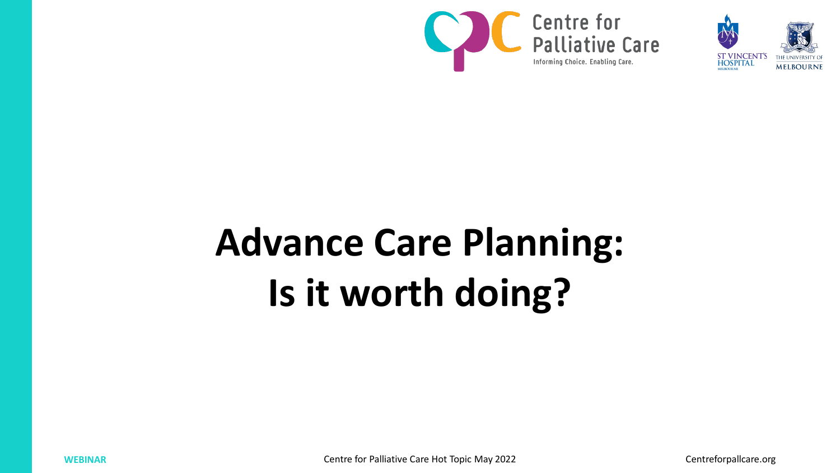



# **Advance Care Planning: Is it worth doing?**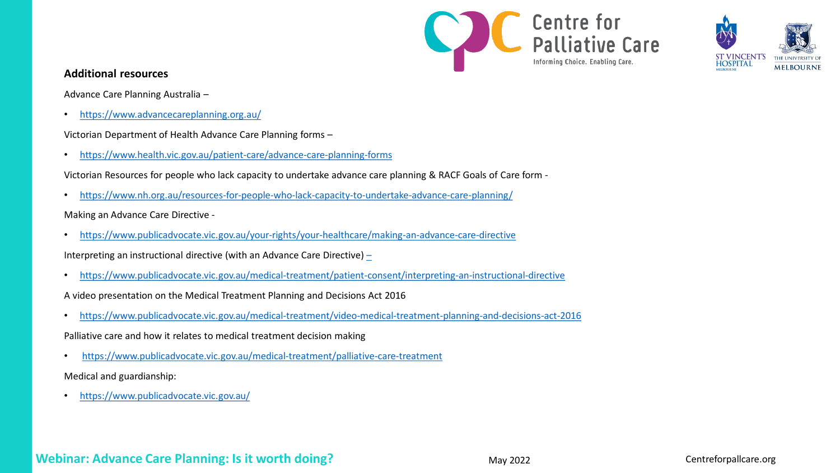



# **Additional resources**

Advance Care Planning Australia –

• <https://www.advancecareplanning.org.au/>

Victorian Department of Health Advance Care Planning forms –

• <https://www.health.vic.gov.au/patient-care/advance-care-planning-forms>

Victorian Resources for people who lack capacity to undertake advance care planning & RACF Goals of Care form -

• <https://www.nh.org.au/resources-for-people-who-lack-capacity-to-undertake-advance-care-planning/>

# Making an Advance Care Directive -

• <https://www.publicadvocate.vic.gov.au/your-rights/your-healthcare/making-an-advance-care-directive>

Interpreting an instructional directive (with an Advance Care Directive) [–](https://www.publicadvocate.vic.gov.au/medical-treatment/patient-consent/interpreting-an-instructional-directive)

• <https://www.publicadvocate.vic.gov.au/medical-treatment/patient-consent/interpreting-an-instructional-directive>

A video presentation on the Medical Treatment Planning and Decisions Act 2016

• <https://www.publicadvocate.vic.gov.au/medical-treatment/video-medical-treatment-planning-and-decisions-act-2016>

Palliative care and how it relates to medical treatment decision making

• <https://www.publicadvocate.vic.gov.au/medical-treatment/palliative-care-treatment>

Medical and guardianship:

• <https://www.publicadvocate.vic.gov.au/>

# **Webinar: Advance Care Planning: Is it worth doing?** May 2022 May 2022 Centreforpallcare.org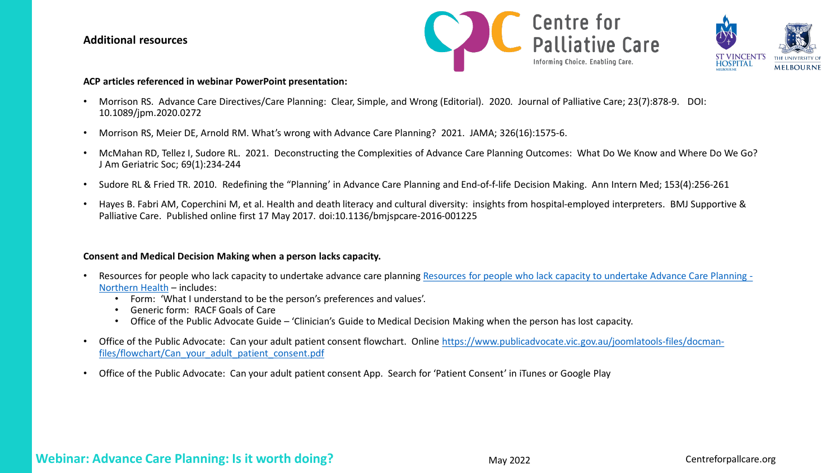## **Additional resources**





#### **ACP articles referenced in webinar PowerPoint presentation:**

- Morrison RS. Advance Care Directives/Care Planning: Clear, Simple, and Wrong (Editorial). 2020. Journal of Palliative Care; 23(7):878-9. DOI: 10.1089/jpm.2020.0272
- Morrison RS, Meier DE, Arnold RM. What's wrong with Advance Care Planning? 2021. JAMA; 326(16):1575-6.
- McMahan RD, Tellez I, Sudore RL. 2021. Deconstructing the Complexities of Advance Care Planning Outcomes: What Do We Know and Where Do We Go? J Am Geriatric Soc; 69(1):234-244
- Sudore RL & Fried TR. 2010. Redefining the "Planning' in Advance Care Planning and End-of-f-life Decision Making. Ann Intern Med; 153(4):256-261
- Hayes B. Fabri AM, Coperchini M, et al. Health and death literacy and cultural diversity: insights from hospital-employed interpreters. BMJ Supportive & Palliative Care. Published online first 17 May 2017. doi:10.1136/bmjspcare-2016-001225

#### **Consent and Medical Decision Making when a person lacks capacity.**

- [Resources for people who lack capacity to undertake advance care planning Resources for people who lack capacity to undertake Advance Care Planning -](https://www.nh.org.au/resources-for-people-who-lack-capacity-to-undertake-advance-care-planning/) Northern Health – includes:
	- Form: 'What I understand to be the person's preferences and values'.
	- Generic form: RACF Goals of Care
	- Office of the Public Advocate Guide 'Clinician's Guide to Medical Decision Making when the person has lost capacity.
- [Office of the Public Advocate: Can your adult patient consent flowchart. Online https://www.publicadvocate.vic.gov.au/joomlatools-files/docman](https://www.publicadvocate.vic.gov.au/joomlatools-files/docman-files/flowchart/Can_your_adult_patient_consent.pdf)files/flowchart/Can\_your\_adult\_patient\_consent.pdf
- Office of the Public Advocate: Can your adult patient consent App. Search for 'Patient Consent' in iTunes or Google Play

# **Webinar: Advance Care Planning: Is it worth doing?** May 2022 May 2022 Centreforpallcare.org